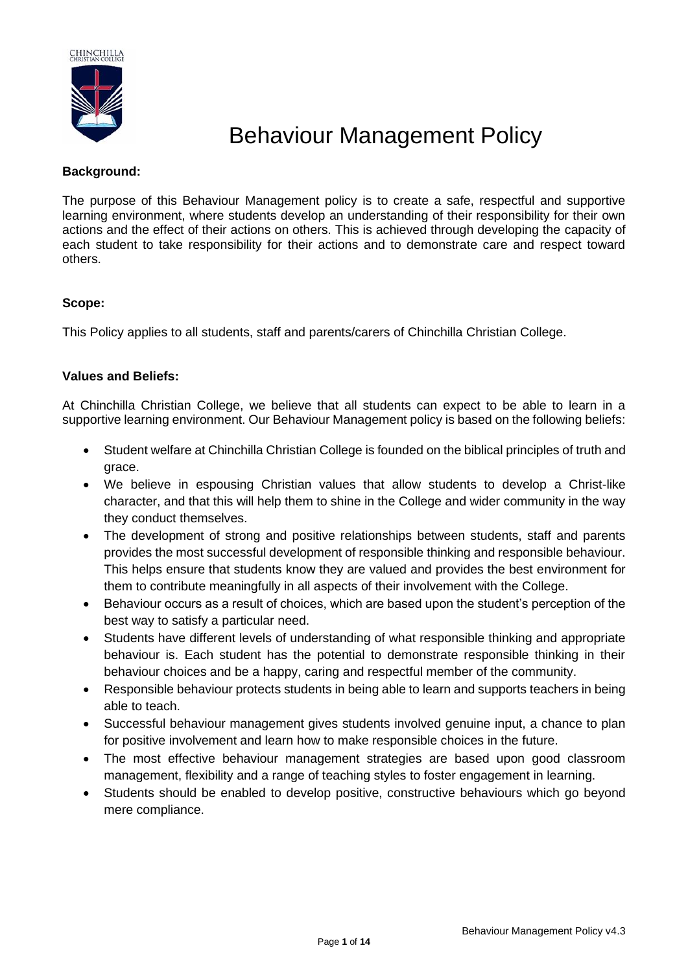

# Behaviour Management Policy

## **Background:**

The purpose of this Behaviour Management policy is to create a safe, respectful and supportive learning environment, where students develop an understanding of their responsibility for their own actions and the effect of their actions on others. This is achieved through developing the capacity of each student to take responsibility for their actions and to demonstrate care and respect toward others.

## **Scope:**

This Policy applies to all students, staff and parents/carers of Chinchilla Christian College.

## **Values and Beliefs:**

At Chinchilla Christian College, we believe that all students can expect to be able to learn in a supportive learning environment. Our Behaviour Management policy is based on the following beliefs:

- Student welfare at Chinchilla Christian College is founded on the biblical principles of truth and grace.
- We believe in espousing Christian values that allow students to develop a Christ-like character, and that this will help them to shine in the College and wider community in the way they conduct themselves.
- The development of strong and positive relationships between students, staff and parents provides the most successful development of responsible thinking and responsible behaviour. This helps ensure that students know they are valued and provides the best environment for them to contribute meaningfully in all aspects of their involvement with the College.
- Behaviour occurs as a result of choices, which are based upon the student's perception of the best way to satisfy a particular need.
- Students have different levels of understanding of what responsible thinking and appropriate behaviour is. Each student has the potential to demonstrate responsible thinking in their behaviour choices and be a happy, caring and respectful member of the community.
- Responsible behaviour protects students in being able to learn and supports teachers in being able to teach.
- Successful behaviour management gives students involved genuine input, a chance to plan for positive involvement and learn how to make responsible choices in the future.
- The most effective behaviour management strategies are based upon good classroom management, flexibility and a range of teaching styles to foster engagement in learning.
- Students should be enabled to develop positive, constructive behaviours which go beyond mere compliance.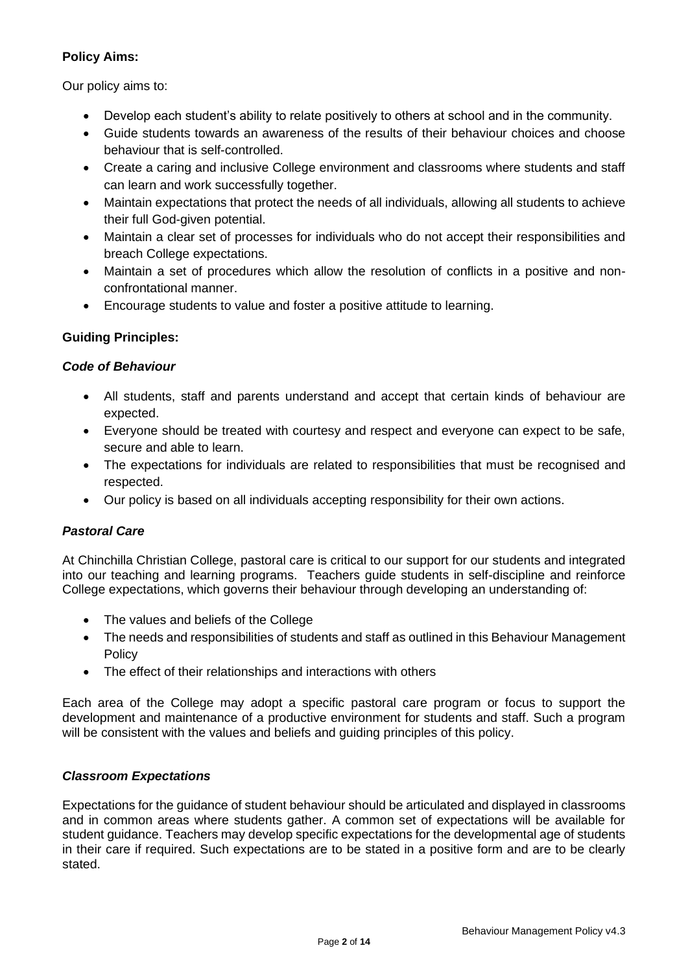# **Policy Aims:**

Our policy aims to:

- Develop each student's ability to relate positively to others at school and in the community.
- Guide students towards an awareness of the results of their behaviour choices and choose behaviour that is self-controlled.
- Create a caring and inclusive College environment and classrooms where students and staff can learn and work successfully together.
- Maintain expectations that protect the needs of all individuals, allowing all students to achieve their full God-given potential.
- Maintain a clear set of processes for individuals who do not accept their responsibilities and breach College expectations.
- Maintain a set of procedures which allow the resolution of conflicts in a positive and nonconfrontational manner.
- Encourage students to value and foster a positive attitude to learning.

# **Guiding Principles:**

# *Code of Behaviour*

- All students, staff and parents understand and accept that certain kinds of behaviour are expected.
- Everyone should be treated with courtesy and respect and everyone can expect to be safe, secure and able to learn.
- The expectations for individuals are related to responsibilities that must be recognised and respected.
- Our policy is based on all individuals accepting responsibility for their own actions.

# *Pastoral Care*

At Chinchilla Christian College, pastoral care is critical to our support for our students and integrated into our teaching and learning programs. Teachers guide students in self-discipline and reinforce College expectations, which governs their behaviour through developing an understanding of:

- The values and beliefs of the College
- The needs and responsibilities of students and staff as outlined in this Behaviour Management Policy
- The effect of their relationships and interactions with others

Each area of the College may adopt a specific pastoral care program or focus to support the development and maintenance of a productive environment for students and staff. Such a program will be consistent with the values and beliefs and guiding principles of this policy.

# *Classroom Expectations*

Expectations for the guidance of student behaviour should be articulated and displayed in classrooms and in common areas where students gather. A common set of expectations will be available for student guidance. Teachers may develop specific expectations for the developmental age of students in their care if required. Such expectations are to be stated in a positive form and are to be clearly stated.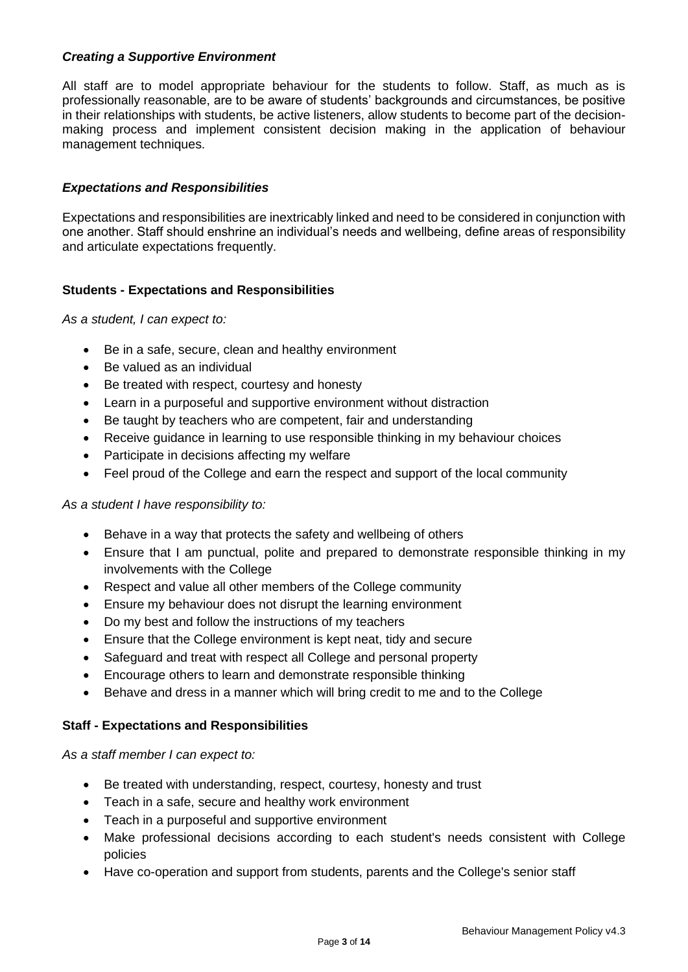## *Creating a Supportive Environment*

All staff are to model appropriate behaviour for the students to follow. Staff, as much as is professionally reasonable, are to be aware of students' backgrounds and circumstances, be positive in their relationships with students, be active listeners, allow students to become part of the decisionmaking process and implement consistent decision making in the application of behaviour management techniques.

#### *Expectations and Responsibilities*

Expectations and responsibilities are inextricably linked and need to be considered in conjunction with one another. Staff should enshrine an individual's needs and wellbeing, define areas of responsibility and articulate expectations frequently.

#### **Students - Expectations and Responsibilities**

*As a student, I can expect to:*

- Be in a safe, secure, clean and healthy environment
- Be valued as an individual
- Be treated with respect, courtesy and honesty
- Learn in a purposeful and supportive environment without distraction
- Be taught by teachers who are competent, fair and understanding
- Receive guidance in learning to use responsible thinking in my behaviour choices
- Participate in decisions affecting my welfare
- Feel proud of the College and earn the respect and support of the local community

#### *As a student I have responsibility to:*

- Behave in a way that protects the safety and wellbeing of others
- Ensure that I am punctual, polite and prepared to demonstrate responsible thinking in my involvements with the College
- Respect and value all other members of the College community
- Ensure my behaviour does not disrupt the learning environment
- Do my best and follow the instructions of my teachers
- Ensure that the College environment is kept neat, tidy and secure
- Safeguard and treat with respect all College and personal property
- Encourage others to learn and demonstrate responsible thinking
- Behave and dress in a manner which will bring credit to me and to the College

#### **Staff - Expectations and Responsibilities**

*As a staff member I can expect to:*

- Be treated with understanding, respect, courtesy, honesty and trust
- Teach in a safe, secure and healthy work environment
- Teach in a purposeful and supportive environment
- Make professional decisions according to each student's needs consistent with College policies
- Have co-operation and support from students, parents and the College's senior staff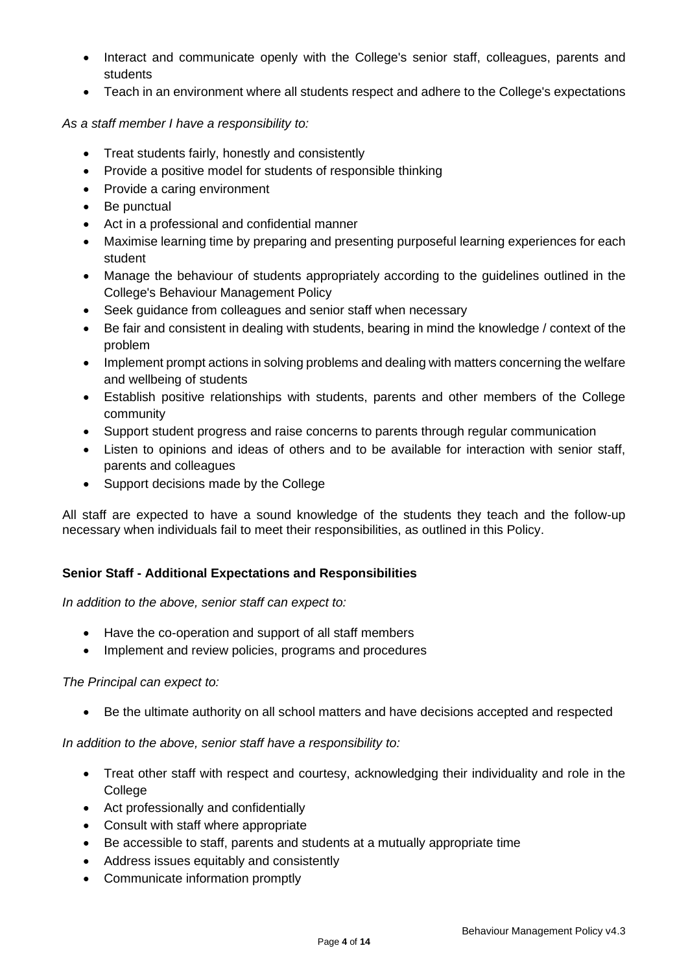- Interact and communicate openly with the College's senior staff, colleagues, parents and students
- Teach in an environment where all students respect and adhere to the College's expectations

## *As a staff member I have a responsibility to:*

- Treat students fairly, honestly and consistently
- Provide a positive model for students of responsible thinking
- Provide a caring environment
- Be punctual
- Act in a professional and confidential manner
- Maximise learning time by preparing and presenting purposeful learning experiences for each student
- Manage the behaviour of students appropriately according to the guidelines outlined in the College's Behaviour Management Policy
- Seek guidance from colleagues and senior staff when necessary
- Be fair and consistent in dealing with students, bearing in mind the knowledge / context of the problem
- Implement prompt actions in solving problems and dealing with matters concerning the welfare and wellbeing of students
- Establish positive relationships with students, parents and other members of the College community
- Support student progress and raise concerns to parents through regular communication
- Listen to opinions and ideas of others and to be available for interaction with senior staff, parents and colleagues
- Support decisions made by the College

All staff are expected to have a sound knowledge of the students they teach and the follow-up necessary when individuals fail to meet their responsibilities, as outlined in this Policy.

## **Senior Staff - Additional Expectations and Responsibilities**

## *In addition to the above, senior staff can expect to:*

- Have the co-operation and support of all staff members
- Implement and review policies, programs and procedures

## *The Principal can expect to:*

• Be the ultimate authority on all school matters and have decisions accepted and respected

*In addition to the above, senior staff have a responsibility to:*

- Treat other staff with respect and courtesy, acknowledging their individuality and role in the **College**
- Act professionally and confidentially
- Consult with staff where appropriate
- Be accessible to staff, parents and students at a mutually appropriate time
- Address issues equitably and consistently
- Communicate information promptly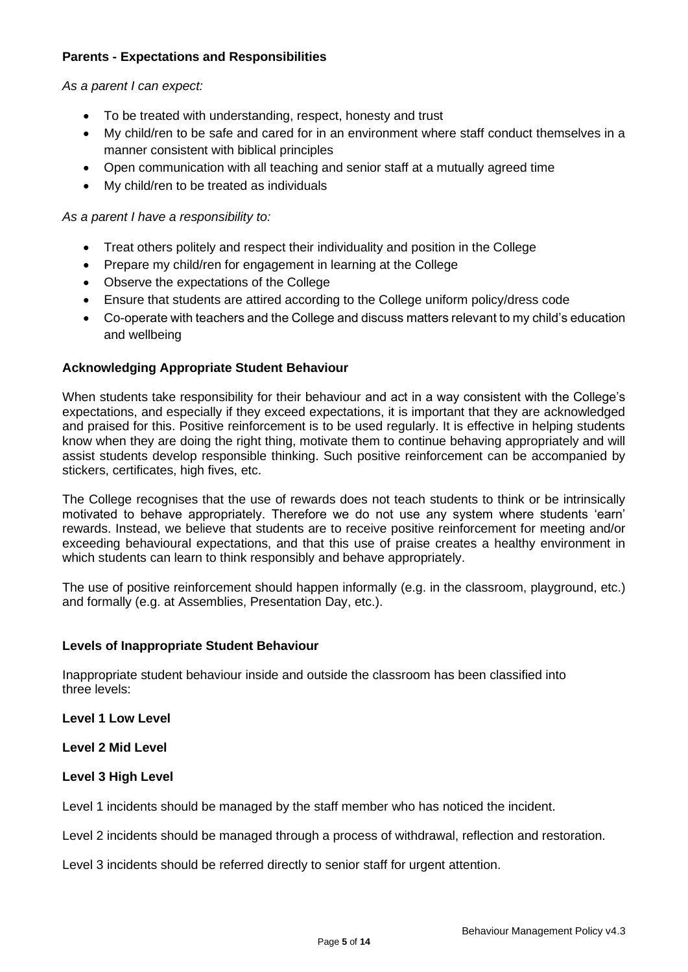## **Parents - Expectations and Responsibilities**

*As a parent I can expect:*

- To be treated with understanding, respect, honesty and trust
- My child/ren to be safe and cared for in an environment where staff conduct themselves in a manner consistent with biblical principles
- Open communication with all teaching and senior staff at a mutually agreed time
- My child/ren to be treated as individuals

*As a parent I have a responsibility to:*

- Treat others politely and respect their individuality and position in the College
- Prepare my child/ren for engagement in learning at the College
- Observe the expectations of the College
- Ensure that students are attired according to the College uniform policy/dress code
- Co-operate with teachers and the College and discuss matters relevant to my child's education and wellbeing

#### **Acknowledging Appropriate Student Behaviour**

When students take responsibility for their behaviour and act in a way consistent with the College's expectations, and especially if they exceed expectations, it is important that they are acknowledged and praised for this. Positive reinforcement is to be used regularly. It is effective in helping students know when they are doing the right thing, motivate them to continue behaving appropriately and will assist students develop responsible thinking. Such positive reinforcement can be accompanied by stickers, certificates, high fives, etc.

The College recognises that the use of rewards does not teach students to think or be intrinsically motivated to behave appropriately. Therefore we do not use any system where students 'earn' rewards. Instead, we believe that students are to receive positive reinforcement for meeting and/or exceeding behavioural expectations, and that this use of praise creates a healthy environment in which students can learn to think responsibly and behave appropriately.

The use of positive reinforcement should happen informally (e.g. in the classroom, playground, etc.) and formally (e.g. at Assemblies, Presentation Day, etc.).

#### **Levels of Inappropriate Student Behaviour**

Inappropriate student behaviour inside and outside the classroom has been classified into three levels:

**Level 1 Low Level**

**Level 2 Mid Level**

## **Level 3 High Level**

Level 1 incidents should be managed by the staff member who has noticed the incident.

Level 2 incidents should be managed through a process of withdrawal, reflection and restoration.

Level 3 incidents should be referred directly to senior staff for urgent attention.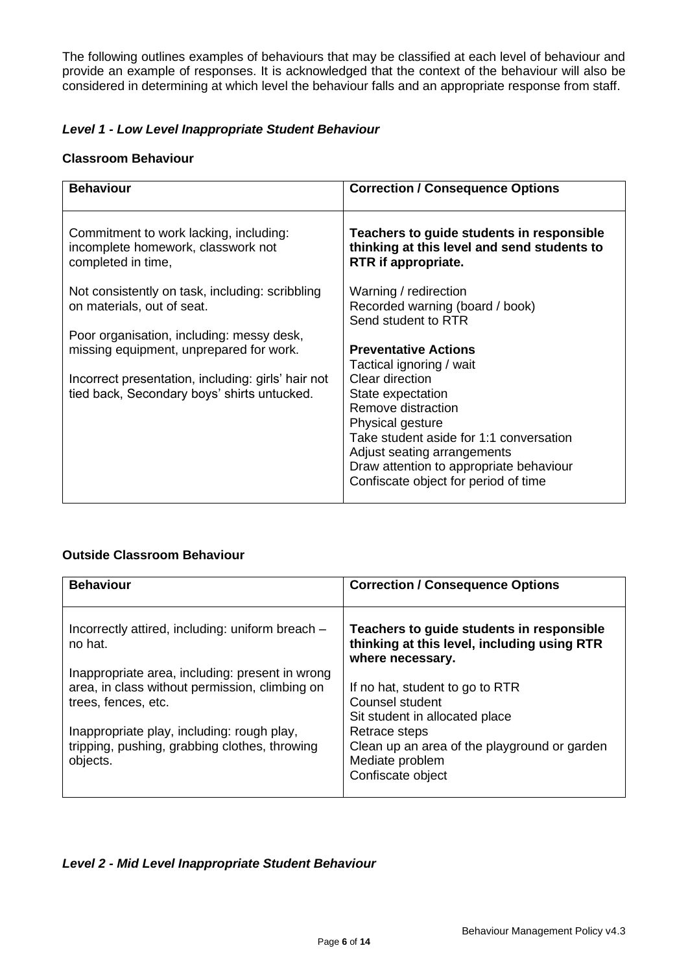The following outlines examples of behaviours that may be classified at each level of behaviour and provide an example of responses. It is acknowledged that the context of the behaviour will also be considered in determining at which level the behaviour falls and an appropriate response from staff.

## *Level 1 - Low Level Inappropriate Student Behaviour*

#### **Classroom Behaviour**

| <b>Behaviour</b>                                                                                                                                                                          | <b>Correction / Consequence Options</b>                                                                                                                                                                                                                                                                |
|-------------------------------------------------------------------------------------------------------------------------------------------------------------------------------------------|--------------------------------------------------------------------------------------------------------------------------------------------------------------------------------------------------------------------------------------------------------------------------------------------------------|
| Commitment to work lacking, including:<br>incomplete homework, classwork not<br>completed in time,                                                                                        | Teachers to guide students in responsible<br>thinking at this level and send students to<br>RTR if appropriate.                                                                                                                                                                                        |
| Not consistently on task, including: scribbling<br>on materials, out of seat.                                                                                                             | Warning / redirection<br>Recorded warning (board / book)<br>Send student to RTR                                                                                                                                                                                                                        |
| Poor organisation, including: messy desk,<br>missing equipment, unprepared for work.<br>Incorrect presentation, including: girls' hair not<br>tied back, Secondary boys' shirts untucked. | <b>Preventative Actions</b><br>Tactical ignoring / wait<br>Clear direction<br>State expectation<br>Remove distraction<br>Physical gesture<br>Take student aside for 1:1 conversation<br>Adjust seating arrangements<br>Draw attention to appropriate behaviour<br>Confiscate object for period of time |

## **Outside Classroom Behaviour**

| <b>Behaviour</b>                                                                                                         | <b>Correction / Consequence Options</b>                                                                      |
|--------------------------------------------------------------------------------------------------------------------------|--------------------------------------------------------------------------------------------------------------|
| Incorrectly attired, including: uniform breach -<br>no hat.                                                              | Teachers to guide students in responsible<br>thinking at this level, including using RTR<br>where necessary. |
| Inappropriate area, including: present in wrong<br>area, in class without permission, climbing on<br>trees, fences, etc. | If no hat, student to go to RTR<br>Counsel student<br>Sit student in allocated place                         |
| Inappropriate play, including: rough play,<br>tripping, pushing, grabbing clothes, throwing<br>objects.                  | Retrace steps<br>Clean up an area of the playground or garden<br>Mediate problem<br>Confiscate object        |

## *Level 2 - Mid Level Inappropriate Student Behaviour*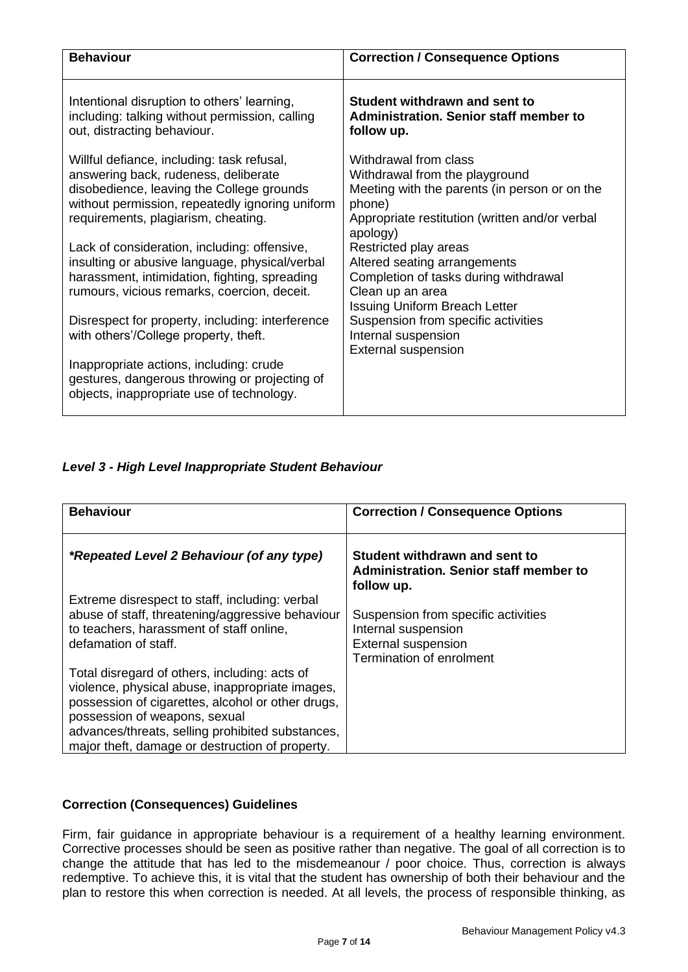| <b>Behaviour</b>                                                                                                                                                                                                          | <b>Correction / Consequence Options</b>                                                                                                                                          |
|---------------------------------------------------------------------------------------------------------------------------------------------------------------------------------------------------------------------------|----------------------------------------------------------------------------------------------------------------------------------------------------------------------------------|
| Intentional disruption to others' learning,<br>including: talking without permission, calling<br>out, distracting behaviour.                                                                                              | Student withdrawn and sent to<br><b>Administration. Senior staff member to</b><br>follow up.                                                                                     |
| Willful defiance, including: task refusal,<br>answering back, rudeness, deliberate<br>disobedience, leaving the College grounds<br>without permission, repeatedly ignoring uniform<br>requirements, plagiarism, cheating. | Withdrawal from class<br>Withdrawal from the playground<br>Meeting with the parents (in person or on the<br>phone)<br>Appropriate restitution (written and/or verbal<br>apology) |
| Lack of consideration, including: offensive,<br>insulting or abusive language, physical/verbal<br>harassment, intimidation, fighting, spreading<br>rumours, vicious remarks, coercion, deceit.                            | Restricted play areas<br>Altered seating arrangements<br>Completion of tasks during withdrawal<br>Clean up an area<br><b>Issuing Uniform Breach Letter</b>                       |
| Disrespect for property, including: interference<br>with others'/College property, theft.<br>Inappropriate actions, including: crude                                                                                      | Suspension from specific activities<br>Internal suspension<br><b>External suspension</b>                                                                                         |
| gestures, dangerous throwing or projecting of<br>objects, inappropriate use of technology.                                                                                                                                |                                                                                                                                                                                  |

# *Level 3 - High Level Inappropriate Student Behaviour*

| <b>Behaviour</b>                                                                                                                                                                                                                                                                              | <b>Correction / Consequence Options</b>                                                                                     |
|-----------------------------------------------------------------------------------------------------------------------------------------------------------------------------------------------------------------------------------------------------------------------------------------------|-----------------------------------------------------------------------------------------------------------------------------|
| <i>*Repeated Level 2 Behaviour (of any type)</i>                                                                                                                                                                                                                                              | Student withdrawn and sent to<br>Administration. Senior staff member to<br>follow up.                                       |
| Extreme disrespect to staff, including: verbal<br>abuse of staff, threatening/aggressive behaviour<br>to teachers, harassment of staff online,<br>defamation of staff.                                                                                                                        | Suspension from specific activities<br>Internal suspension<br><b>External suspension</b><br><b>Termination of enrolment</b> |
| Total disregard of others, including: acts of<br>violence, physical abuse, inappropriate images,<br>possession of cigarettes, alcohol or other drugs,<br>possession of weapons, sexual<br>advances/threats, selling prohibited substances,<br>major theft, damage or destruction of property. |                                                                                                                             |

# **Correction (Consequences) Guidelines**

Firm, fair guidance in appropriate behaviour is a requirement of a healthy learning environment. Corrective processes should be seen as positive rather than negative. The goal of all correction is to change the attitude that has led to the misdemeanour / poor choice. Thus, correction is always redemptive. To achieve this, it is vital that the student has ownership of both their behaviour and the plan to restore this when correction is needed. At all levels, the process of responsible thinking, as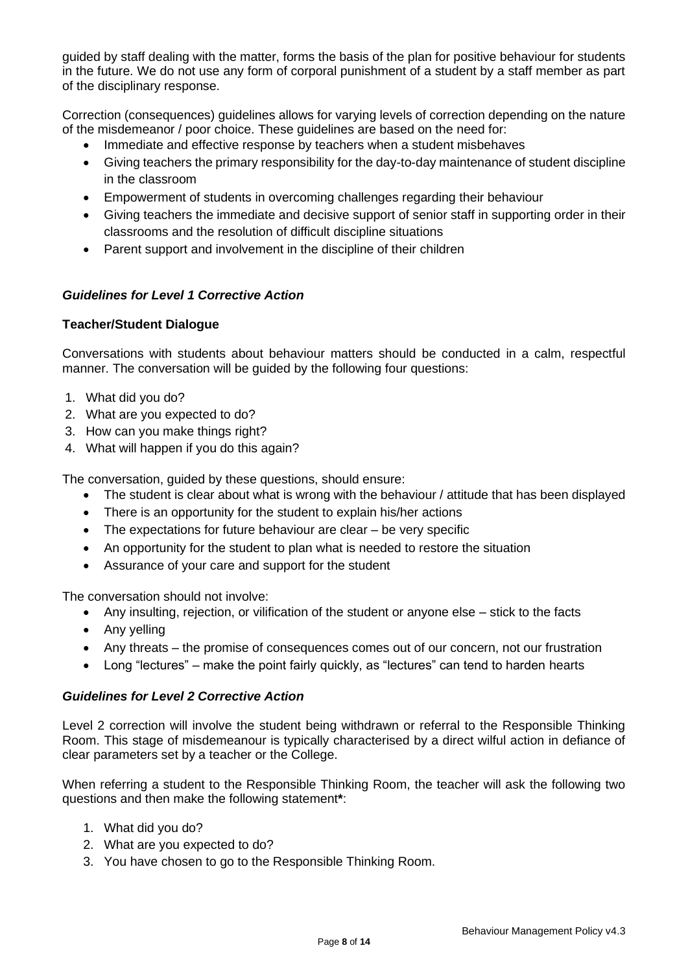guided by staff dealing with the matter, forms the basis of the plan for positive behaviour for students in the future. We do not use any form of corporal punishment of a student by a staff member as part of the disciplinary response.

Correction (consequences) guidelines allows for varying levels of correction depending on the nature of the misdemeanor / poor choice. These guidelines are based on the need for:

- Immediate and effective response by teachers when a student misbehaves
- Giving teachers the primary responsibility for the day-to-day maintenance of student discipline in the classroom
- Empowerment of students in overcoming challenges regarding their behaviour
- Giving teachers the immediate and decisive support of senior staff in supporting order in their classrooms and the resolution of difficult discipline situations
- Parent support and involvement in the discipline of their children

# *Guidelines for Level 1 Corrective Action*

## **Teacher/Student Dialogue**

Conversations with students about behaviour matters should be conducted in a calm, respectful manner. The conversation will be guided by the following four questions:

- 1. What did you do?
- 2. What are you expected to do?
- 3. How can you make things right?
- 4. What will happen if you do this again?

The conversation, guided by these questions, should ensure:

- The student is clear about what is wrong with the behaviour / attitude that has been displayed
- There is an opportunity for the student to explain his/her actions
- The expectations for future behaviour are clear be very specific
- An opportunity for the student to plan what is needed to restore the situation
- Assurance of your care and support for the student

The conversation should not involve:

- Any insulting, rejection, or vilification of the student or anyone else stick to the facts
- Any yelling
- Any threats the promise of consequences comes out of our concern, not our frustration
- Long "lectures" make the point fairly quickly, as "lectures" can tend to harden hearts

## *Guidelines for Level 2 Corrective Action*

Level 2 correction will involve the student being withdrawn or referral to the Responsible Thinking Room. This stage of misdemeanour is typically characterised by a direct wilful action in defiance of clear parameters set by a teacher or the College.

When referring a student to the Responsible Thinking Room, the teacher will ask the following two questions and then make the following statement**\***:

- 1. What did you do?
- 2. What are you expected to do?
- 3. You have chosen to go to the Responsible Thinking Room.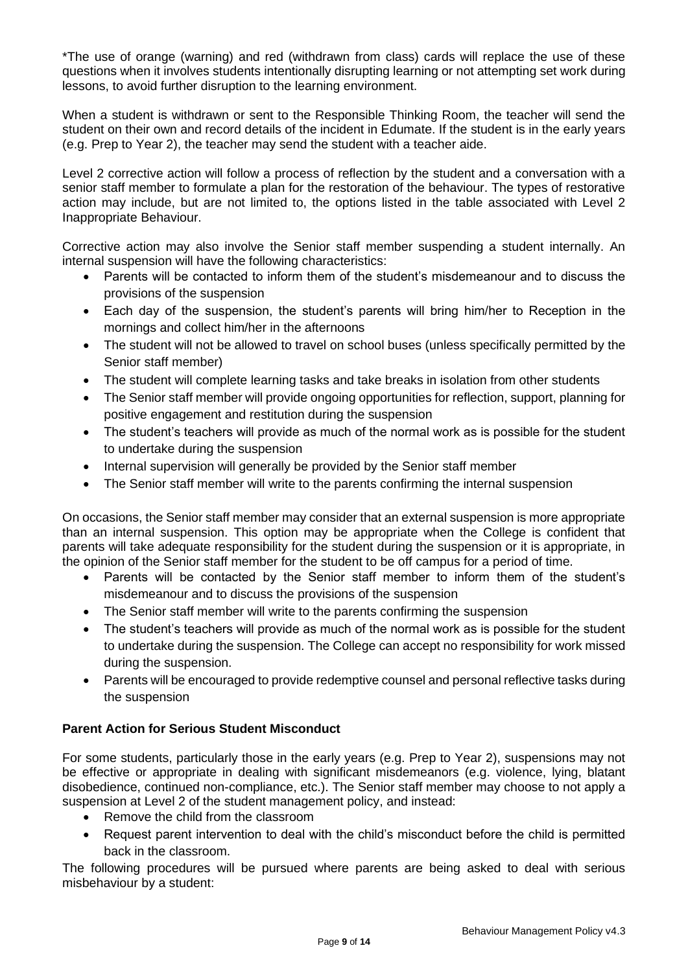\*The use of orange (warning) and red (withdrawn from class) cards will replace the use of these questions when it involves students intentionally disrupting learning or not attempting set work during lessons, to avoid further disruption to the learning environment.

When a student is withdrawn or sent to the Responsible Thinking Room, the teacher will send the student on their own and record details of the incident in Edumate. If the student is in the early years (e.g. Prep to Year 2), the teacher may send the student with a teacher aide.

Level 2 corrective action will follow a process of reflection by the student and a conversation with a senior staff member to formulate a plan for the restoration of the behaviour. The types of restorative action may include, but are not limited to, the options listed in the table associated with Level 2 Inappropriate Behaviour.

Corrective action may also involve the Senior staff member suspending a student internally. An internal suspension will have the following characteristics:

- Parents will be contacted to inform them of the student's misdemeanour and to discuss the provisions of the suspension
- Each day of the suspension, the student's parents will bring him/her to Reception in the mornings and collect him/her in the afternoons
- The student will not be allowed to travel on school buses (unless specifically permitted by the Senior staff member)
- The student will complete learning tasks and take breaks in isolation from other students
- The Senior staff member will provide ongoing opportunities for reflection, support, planning for positive engagement and restitution during the suspension
- The student's teachers will provide as much of the normal work as is possible for the student to undertake during the suspension
- Internal supervision will generally be provided by the Senior staff member
- The Senior staff member will write to the parents confirming the internal suspension

On occasions, the Senior staff member may consider that an external suspension is more appropriate than an internal suspension. This option may be appropriate when the College is confident that parents will take adequate responsibility for the student during the suspension or it is appropriate, in the opinion of the Senior staff member for the student to be off campus for a period of time.

- Parents will be contacted by the Senior staff member to inform them of the student's misdemeanour and to discuss the provisions of the suspension
- The Senior staff member will write to the parents confirming the suspension
- The student's teachers will provide as much of the normal work as is possible for the student to undertake during the suspension. The College can accept no responsibility for work missed during the suspension.
- Parents will be encouraged to provide redemptive counsel and personal reflective tasks during the suspension

# **Parent Action for Serious Student Misconduct**

For some students, particularly those in the early years (e.g. Prep to Year 2), suspensions may not be effective or appropriate in dealing with significant misdemeanors (e.g. violence, lying, blatant disobedience, continued non-compliance, etc.). The Senior staff member may choose to not apply a suspension at Level 2 of the student management policy, and instead:

- Remove the child from the classroom
- Request parent intervention to deal with the child's misconduct before the child is permitted back in the classroom.

The following procedures will be pursued where parents are being asked to deal with serious misbehaviour by a student: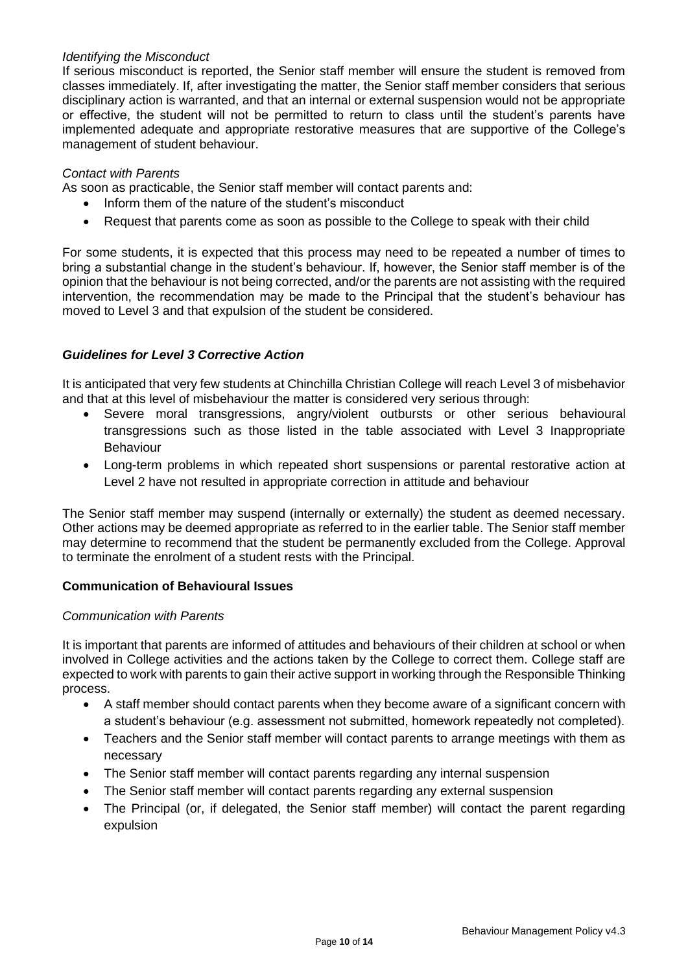#### *Identifying the Misconduct*

If serious misconduct is reported, the Senior staff member will ensure the student is removed from classes immediately. If, after investigating the matter, the Senior staff member considers that serious disciplinary action is warranted, and that an internal or external suspension would not be appropriate or effective, the student will not be permitted to return to class until the student's parents have implemented adequate and appropriate restorative measures that are supportive of the College's management of student behaviour.

#### *Contact with Parents*

As soon as practicable, the Senior staff member will contact parents and:

- Inform them of the nature of the student's misconduct
- Request that parents come as soon as possible to the College to speak with their child

For some students, it is expected that this process may need to be repeated a number of times to bring a substantial change in the student's behaviour. If, however, the Senior staff member is of the opinion that the behaviour is not being corrected, and/or the parents are not assisting with the required intervention, the recommendation may be made to the Principal that the student's behaviour has moved to Level 3 and that expulsion of the student be considered.

## *Guidelines for Level 3 Corrective Action*

It is anticipated that very few students at Chinchilla Christian College will reach Level 3 of misbehavior and that at this level of misbehaviour the matter is considered very serious through:

- Severe moral transgressions, angry/violent outbursts or other serious behavioural transgressions such as those listed in the table associated with Level 3 Inappropriate Behaviour
- Long-term problems in which repeated short suspensions or parental restorative action at Level 2 have not resulted in appropriate correction in attitude and behaviour

The Senior staff member may suspend (internally or externally) the student as deemed necessary. Other actions may be deemed appropriate as referred to in the earlier table. The Senior staff member may determine to recommend that the student be permanently excluded from the College. Approval to terminate the enrolment of a student rests with the Principal.

#### **Communication of Behavioural Issues**

#### *Communication with Parents*

It is important that parents are informed of attitudes and behaviours of their children at school or when involved in College activities and the actions taken by the College to correct them. College staff are expected to work with parents to gain their active support in working through the Responsible Thinking process.

- A staff member should contact parents when they become aware of a significant concern with a student's behaviour (e.g. assessment not submitted, homework repeatedly not completed).
- Teachers and the Senior staff member will contact parents to arrange meetings with them as necessary
- The Senior staff member will contact parents regarding any internal suspension
- The Senior staff member will contact parents regarding any external suspension
- The Principal (or, if delegated, the Senior staff member) will contact the parent regarding expulsion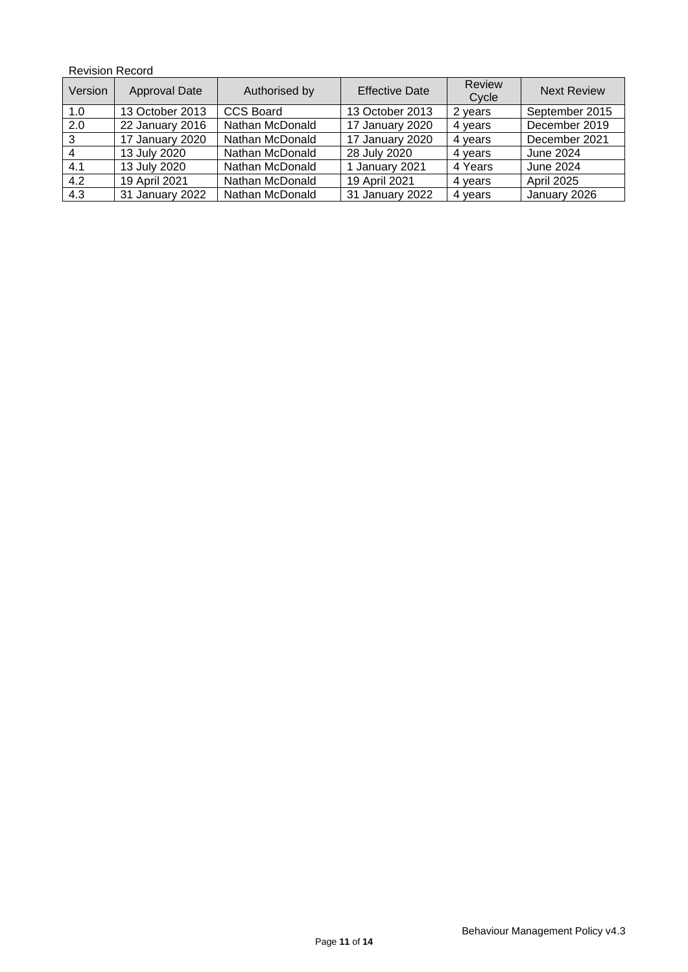## Revision Record

| Version | Approval Date   | Authorised by    | <b>Effective Date</b> | <b>Review</b><br>Cycle | <b>Next Review</b> |
|---------|-----------------|------------------|-----------------------|------------------------|--------------------|
| 1.0     | 13 October 2013 | <b>CCS Board</b> | 13 October 2013       | 2 years                | September 2015     |
| 2.0     | 22 January 2016 | Nathan McDonald  | 17 January 2020       | 4 years                | December 2019      |
| 3       | 17 January 2020 | Nathan McDonald  | 17 January 2020       | 4 years                | December 2021      |
|         | 13 July 2020    | Nathan McDonald  | 28 July 2020          | 4 years                | June 2024          |
| 4.1     | 13 July 2020    | Nathan McDonald  | 1 January 2021        | 4 Years                | June 2024          |
| 4.2     | 19 April 2021   | Nathan McDonald  | 19 April 2021         | 4 years                | <b>April 2025</b>  |
| 4.3     | 31 January 2022 | Nathan McDonald  | 31 January 2022       | 4 years                | January 2026       |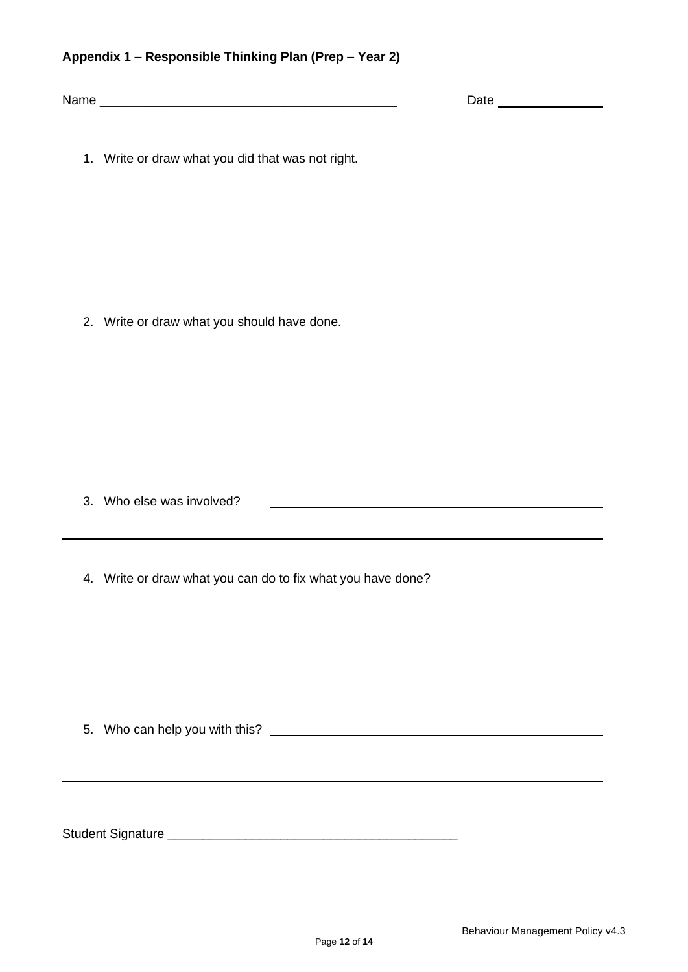## **Appendix 1 – Responsible Thinking Plan (Prep – Year 2)**

Name \_\_\_\_\_\_\_\_\_\_\_\_\_\_\_\_\_\_\_\_\_\_\_\_\_\_\_\_\_\_\_\_\_\_\_\_\_\_\_\_\_\_ Date

1. Write or draw what you did that was not right.

2. Write or draw what you should have done.

3. Who else was involved?

4. Write or draw what you can do to fix what you have done?

5. Who can help you with this?

Student Signature \_\_\_\_\_\_\_\_\_\_\_\_\_\_\_\_\_\_\_\_\_\_\_\_\_\_\_\_\_\_\_\_\_\_\_\_\_\_\_\_\_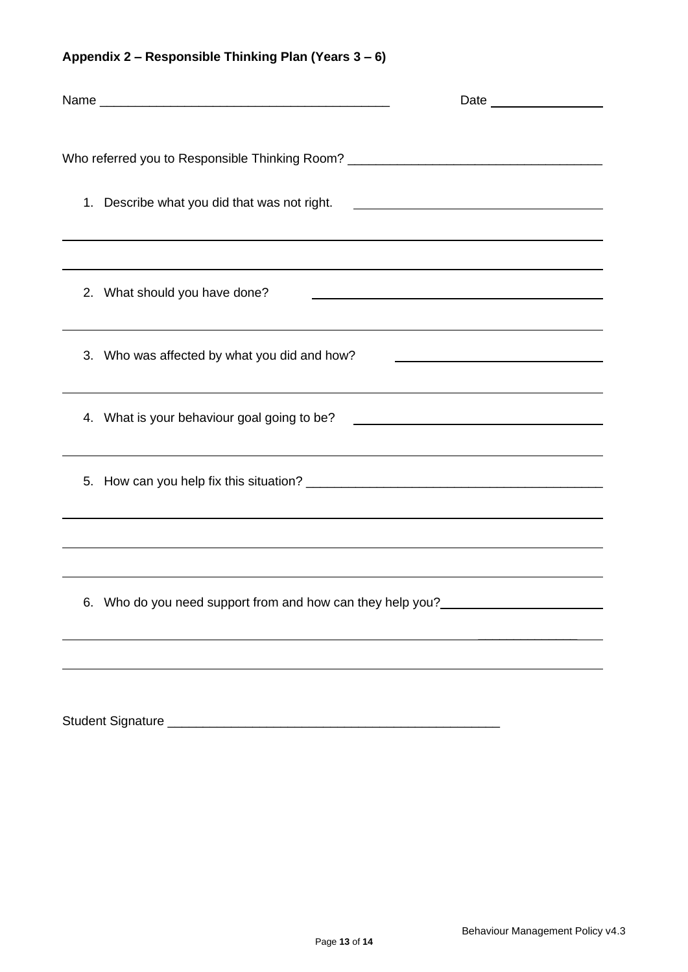| Who referred you to Responsible Thinking Room? _________________________________ |                                                                                                                       |
|----------------------------------------------------------------------------------|-----------------------------------------------------------------------------------------------------------------------|
| 1. Describe what you did that was not right.                                     | <u> 1989 - Johann Stein, mars and de Branch and de Branch and de Branch and de Branch and de Branch and de Branch</u> |
| ,我们也不会有什么。""我们的人,我们也不会有什么?""我们的人,我们也不会有什么?""我们的人,我们也不会有什么?""我们的人,我们也不会有什么?""我们的人 |                                                                                                                       |
| 2. What should you have done?                                                    |                                                                                                                       |
| 3. Who was affected by what you did and how?                                     |                                                                                                                       |
| 4. What is your behaviour goal going to be?                                      | <u> 1989 - Johann Barbara, martin amerikan basal dan berasal dan berasal dalam basal dalam basal dalam basal dan</u>  |
|                                                                                  |                                                                                                                       |
|                                                                                  |                                                                                                                       |
| 6. Who do you need support from and how can they help you?______________________ |                                                                                                                       |
|                                                                                  |                                                                                                                       |
|                                                                                  |                                                                                                                       |

**Appendix 2 – Responsible Thinking Plan (Years 3 – 6)**

Student Signature \_\_\_\_\_\_\_\_\_\_\_\_\_\_\_\_\_\_\_\_\_\_\_\_\_\_\_\_\_\_\_\_\_\_\_\_\_\_\_\_\_\_\_\_\_\_\_